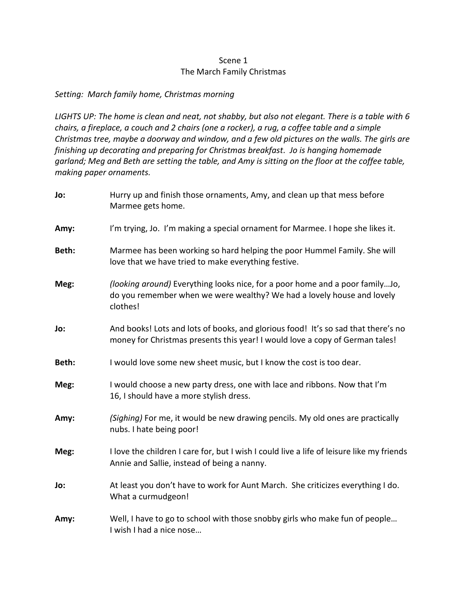## Scene 1 The March Family Christmas

## *Setting: March family home, Christmas morning*

*LIGHTS UP: The home is clean and neat, not shabby, but also not elegant. There is a table with 6 chairs, a fireplace, a couch and 2 chairs (one a rocker), a rug, a coffee table and a simple Christmas tree, maybe a doorway and window, and a few old pictures on the walls. The girls are finishing up decorating and preparing for Christmas breakfast. Jo is hanging homemade garland; Meg and Beth are setting the table, and Amy is sitting on the floor at the coffee table, making paper ornaments.*

| Jo:   | Hurry up and finish those ornaments, Amy, and clean up that mess before<br>Marmee gets home.                                                                       |
|-------|--------------------------------------------------------------------------------------------------------------------------------------------------------------------|
| Amy:  | I'm trying, Jo. I'm making a special ornament for Marmee. I hope she likes it.                                                                                     |
| Beth: | Marmee has been working so hard helping the poor Hummel Family. She will<br>love that we have tried to make everything festive.                                    |
| Meg:  | (looking around) Everything looks nice, for a poor home and a poor familyJo,<br>do you remember when we were wealthy? We had a lovely house and lovely<br>clothes! |
| Jo:   | And books! Lots and lots of books, and glorious food! It's so sad that there's no<br>money for Christmas presents this year! I would love a copy of German tales!  |
| Beth: | I would love some new sheet music, but I know the cost is too dear.                                                                                                |
| Meg:  | I would choose a new party dress, one with lace and ribbons. Now that I'm<br>16, I should have a more stylish dress.                                               |
| Amy:  | (Sighing) For me, it would be new drawing pencils. My old ones are practically<br>nubs. I hate being poor!                                                         |
| Meg:  | I love the children I care for, but I wish I could live a life of leisure like my friends<br>Annie and Sallie, instead of being a nanny.                           |
| Jo:   | At least you don't have to work for Aunt March. She criticizes everything I do.<br>What a curmudgeon!                                                              |
| Amy:  | Well, I have to go to school with those snobby girls who make fun of people<br>I wish I had a nice nose                                                            |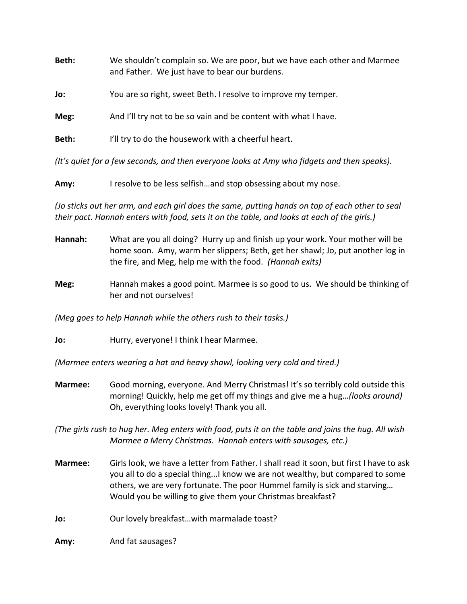| Beth: | We shouldn't complain so. We are poor, but we have each other and Marmee<br>and Father. We just have to bear our burdens. |
|-------|---------------------------------------------------------------------------------------------------------------------------|
| Jo:   | You are so right, sweet Beth. I resolve to improve my temper.                                                             |
| Meg:  | And I'll try not to be so vain and be content with what I have.                                                           |
| Beth: | I'll try to do the housework with a cheerful heart.                                                                       |
|       |                                                                                                                           |

*(It's quiet for a few seconds, and then everyone looks at Amy who fidgets and then speaks).*

**Amy:** I resolve to be less selfish…and stop obsessing about my nose.

*(Jo sticks out her arm, and each girl does the same, putting hands on top of each other to seal their pact. Hannah enters with food, sets it on the table, and looks at each of the girls.)*

- **Hannah:** What are you all doing? Hurry up and finish up your work. Your mother will be home soon. Amy, warm her slippers; Beth, get her shawl; Jo, put another log in the fire, and Meg, help me with the food. *(Hannah exits)*
- **Meg:** Hannah makes a good point. Marmee is so good to us. We should be thinking of her and not ourselves!

*(Meg goes to help Hannah while the others rush to their tasks.)*

**Jo:** Hurry, everyone! I think I hear Marmee.

*(Marmee enters wearing a hat and heavy shawl, looking very cold and tired.)*

**Marmee:** Good morning, everyone. And Merry Christmas! It's so terribly cold outside this morning! Quickly, help me get off my things and give me a hug…*(looks around)* Oh, everything looks lovely! Thank you all.

*(The girls rush to hug her. Meg enters with food, puts it on the table and joins the hug. All wish Marmee a Merry Christmas. Hannah enters with sausages, etc.)*

- **Marmee:** Girls look, we have a letter from Father. I shall read it soon, but first I have to ask you all to do a special thing...I know we are not wealthy, but compared to some others, we are very fortunate. The poor Hummel family is sick and starving… Would you be willing to give them your Christmas breakfast?
- **Jo:** Our lovely breakfast...with marmalade toast?

**Amy:** And fat sausages?